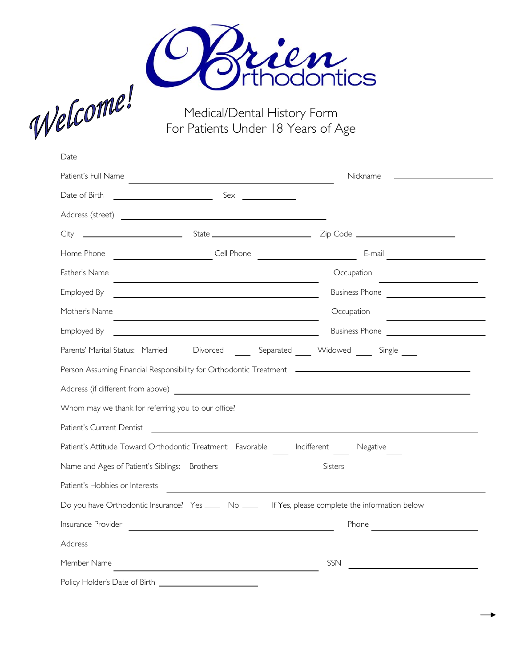

Medical/Dental History Form For Patients Under 18 Years of Age

| Date<br><u> 1990 - Johann Barbara, martxa a</u>    |                                                                                 |                                                                                                                                                                                                                                      |
|----------------------------------------------------|---------------------------------------------------------------------------------|--------------------------------------------------------------------------------------------------------------------------------------------------------------------------------------------------------------------------------------|
| Patient's Full Name                                |                                                                                 | Nickname                                                                                                                                                                                                                             |
| Date of Birth                                      |                                                                                 |                                                                                                                                                                                                                                      |
|                                                    |                                                                                 |                                                                                                                                                                                                                                      |
|                                                    |                                                                                 |                                                                                                                                                                                                                                      |
| Home Phone                                         |                                                                                 | <u>Cell Phone and Communications and Communications and Communications and Communications and Communications and Communications and Communications and Communications and Communications and Communications and Communications a</u> |
| Father's Name                                      | <u> 1980 - Johann Barn, amerikansk politiker (d. 1980)</u>                      | Occupation<br>the control of the control of the control of                                                                                                                                                                           |
| Employed By                                        |                                                                                 | Business Phone                                                                                                                                                                                                                       |
| Mother's Name                                      |                                                                                 | Occupation                                                                                                                                                                                                                           |
| Employed By                                        | <u> 1989 - Johann Stoff, amerikansk politiker (</u>                             |                                                                                                                                                                                                                                      |
|                                                    |                                                                                 | Parents' Marital Status: Married Divorced Separated Widowed Single                                                                                                                                                                   |
|                                                    |                                                                                 |                                                                                                                                                                                                                                      |
|                                                    |                                                                                 |                                                                                                                                                                                                                                      |
| Whom may we thank for referring you to our office? |                                                                                 | and the control of the control of the control of the control of the control of the control of the control of the                                                                                                                     |
| Patient's Current Dentist                          |                                                                                 | <u> 1980 - Johann John Stone, Amerikaansk politiker (* 1950)</u>                                                                                                                                                                     |
|                                                    | Patient's Attitude Toward Orthodontic Treatment: Favorable Indifferent Negative |                                                                                                                                                                                                                                      |
|                                                    |                                                                                 |                                                                                                                                                                                                                                      |
| Patient's Hobbies or Interests                     |                                                                                 |                                                                                                                                                                                                                                      |
|                                                    |                                                                                 | Do you have Orthodontic Insurance? Yes _____ No _____ If Yes, please complete the information below                                                                                                                                  |
| Insurance Provider                                 | <u> 1989 - Johann Barbara, martin amerikan basar da</u>                         | Phone<br><u> 1989 - Johann Barn, mars ann an t-</u>                                                                                                                                                                                  |
|                                                    |                                                                                 |                                                                                                                                                                                                                                      |
| Member Name                                        |                                                                                 | SSN                                                                                                                                                                                                                                  |
| Policy Holder's Date of Birth                      |                                                                                 |                                                                                                                                                                                                                                      |